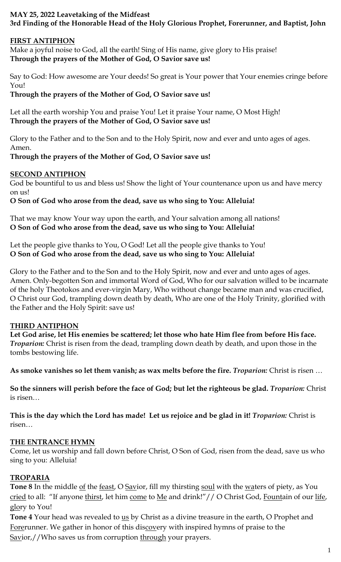## **MAY 25, 2022 Leavetaking of the Midfeast 3rd Finding of the Honorable Head of the Holy Glorious Prophet, Forerunner, and Baptist, John**

#### **FIRST ANTIPHON**

Make a joyful noise to God, all the earth! Sing of His name, give glory to His praise! **Through the prayers of the Mother of God, O Savior save us!**

Say to God: How awesome are Your deeds! So great is Your power that Your enemies cringe before You!

**Through the prayers of the Mother of God, O Savior save us!**

Let all the earth worship You and praise You! Let it praise Your name, O Most High! **Through the prayers of the Mother of God, O Savior save us!**

Glory to the Father and to the Son and to the Holy Spirit, now and ever and unto ages of ages. Amen.

# **Through the prayers of the Mother of God, O Savior save us!**

## **SECOND ANTIPHON**

God be bountiful to us and bless us! Show the light of Your countenance upon us and have mercy on us!

## **O Son of God who arose from the dead, save us who sing to You: Alleluia!**

That we may know Your way upon the earth, and Your salvation among all nations! **O Son of God who arose from the dead, save us who sing to You: Alleluia!**

Let the people give thanks to You, O God! Let all the people give thanks to You! **O Son of God who arose from the dead, save us who sing to You: Alleluia!**

Glory to the Father and to the Son and to the Holy Spirit, now and ever and unto ages of ages. Amen. Only-begotten Son and immortal Word of God, Who for our salvation willed to be incarnate of the holy Theotokos and ever-virgin Mary, Who without change became man and was crucified, O Christ our God, trampling down death by death, Who are one of the Holy Trinity, glorified with the Father and the Holy Spirit: save us!

# **THIRD ANTIPHON**

**Let God arise, let His enemies be scattered; let those who hate Him flee from before His face.** *Troparion:* Christ is risen from the dead, trampling down death by death, and upon those in the tombs bestowing life.

**As smoke vanishes so let them vanish; as wax melts before the fire.** *Troparion:* Christ is risen …

**So the sinners will perish before the face of God; but let the righteous be glad.** *Troparion:* Christ is risen…

**This is the day which the Lord has made! Let us rejoice and be glad in it!** *Troparion:* Christ is risen…

# **THE ENTRANCE HYMN**

Come, let us worship and fall down before Christ, O Son of God, risen from the dead, save us who sing to you: Alleluia!

# **TROPARIA**

**Tone 8** In the middle of the feast, O Savior, fill my thirsting soul with the waters of piety, as You cried to all: "If anyone thirst, let him come to Me and drink!"// O Christ God, Fountain of our life, glory to You!

**Tone 4** Your head was revealed to us by Christ as a divine treasure in the earth, O Prophet and Forerunner. We gather in honor of this discovery with inspired hymns of praise to the Savior,//Who saves us from corruption through your prayers.